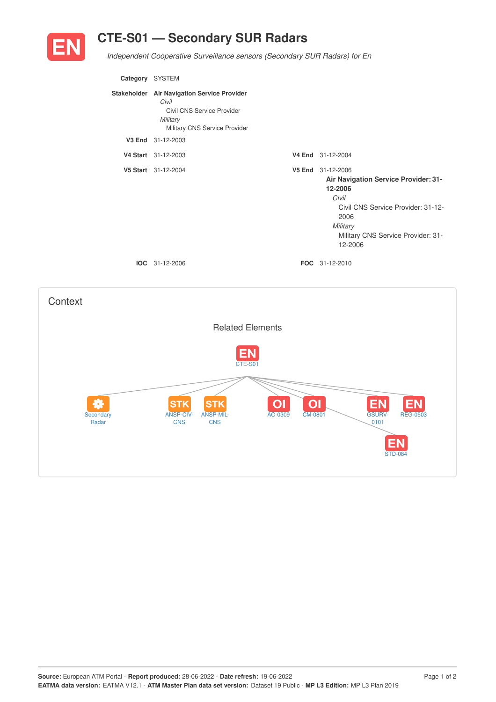

## **CTE-S01 — Secondary SUR Radars**

*Independent Cooperative Surveillance sensors (Secondary SUR Radars) for En*

| Category SYSTEM |                                                                                                                                 |                                                                                                                                                                                                 |
|-----------------|---------------------------------------------------------------------------------------------------------------------------------|-------------------------------------------------------------------------------------------------------------------------------------------------------------------------------------------------|
|                 | Stakeholder Air Navigation Service Provider<br>Civil<br>Civil CNS Service Provider<br>Military<br>Military CNS Service Provider |                                                                                                                                                                                                 |
|                 | V3 End 31-12-2003                                                                                                               |                                                                                                                                                                                                 |
|                 | V4 Start 31-12-2003                                                                                                             | V4 End 31-12-2004                                                                                                                                                                               |
|                 | V5 Start 31-12-2004                                                                                                             | V5 End 31-12-2006<br><b>Air Navigation Service Provider: 31-</b><br>12-2006<br>Civil<br>Civil CNS Service Provider: 31-12-<br>2006<br>Military<br>Military CNS Service Provider: 31-<br>12-2006 |
|                 | <b>IOC</b> 31-12-2006                                                                                                           | <b>FOC</b> 31-12-2010                                                                                                                                                                           |